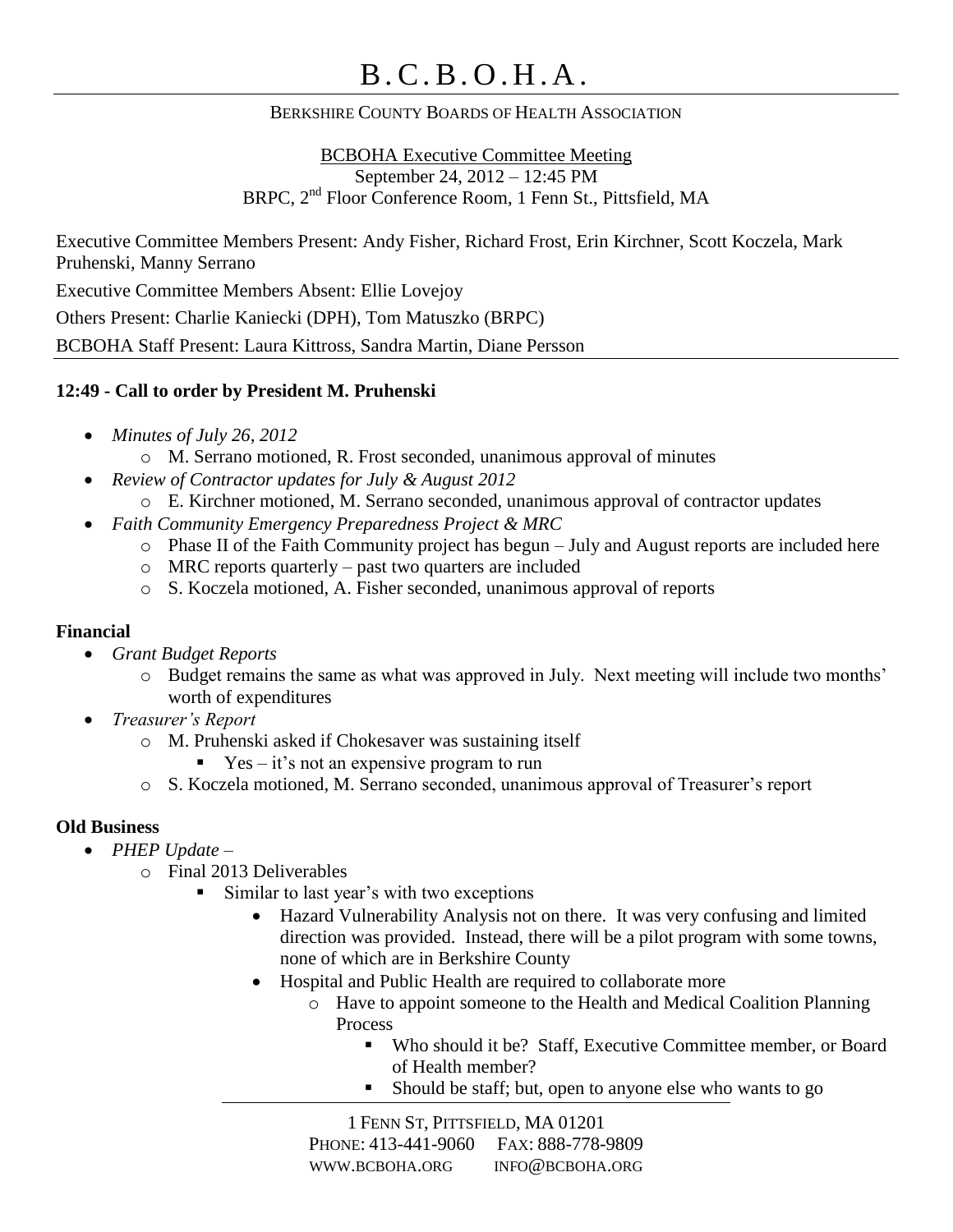# B . C . B . O . H . A .

#### BERKSHIRE COUNTY BOARDS OF HEALTH ASSOCIATION

BCBOHA Executive Committee Meeting September 24, 2012 – 12:45 PM BRPC, 2nd Floor Conference Room, 1 Fenn St., Pittsfield, MA

Executive Committee Members Present: Andy Fisher, Richard Frost, Erin Kirchner, Scott Koczela, Mark Pruhenski, Manny Serrano Executive Committee Members Absent: Ellie Lovejoy

Others Present: Charlie Kaniecki (DPH), Tom Matuszko (BRPC)

BCBOHA Staff Present: Laura Kittross, Sandra Martin, Diane Persson

#### **12:49 - Call to order by President M. Pruhenski**

- *Minutes of July 26, 2012*
	- o M. Serrano motioned, R. Frost seconded, unanimous approval of minutes
	- *Review of Contractor updates for July & August 2012*
		- o E. Kirchner motioned, M. Serrano seconded, unanimous approval of contractor updates
- *Faith Community Emergency Preparedness Project & MRC*
	- o Phase II of the Faith Community project has begun July and August reports are included here
	- o MRC reports quarterly past two quarters are included
	- o S. Koczela motioned, A. Fisher seconded, unanimous approval of reports

#### **Financial**

- *Grant Budget Reports*
	- o Budget remains the same as what was approved in July. Next meeting will include two months' worth of expenditures
- *Treasurer's Report*
	- o M. Pruhenski asked if Chokesaver was sustaining itself
		- $\text{Yes} \text{it's not an expensive program to run}$
	- o S. Koczela motioned, M. Serrano seconded, unanimous approval of Treasurer's report

### **Old Business**

- *PHEP Update –*
	- o Final 2013 Deliverables
		- Similar to last year's with two exceptions
			- Hazard Vulnerability Analysis not on there. It was very confusing and limited direction was provided. Instead, there will be a pilot program with some towns, none of which are in Berkshire County
			- Hospital and Public Health are required to collaborate more
				- o Have to appoint someone to the Health and Medical Coalition Planning Process
					- Who should it be? Staff, Executive Committee member, or Board of Health member?
					- Should be staff; but, open to anyone else who wants to go

1 FENN ST, PITTSFIELD, MA 01201 PHONE: 413-441-9060 FAX: 888-778-9809 WWW.BCBOHA.ORG INFO@BCBOHA.ORG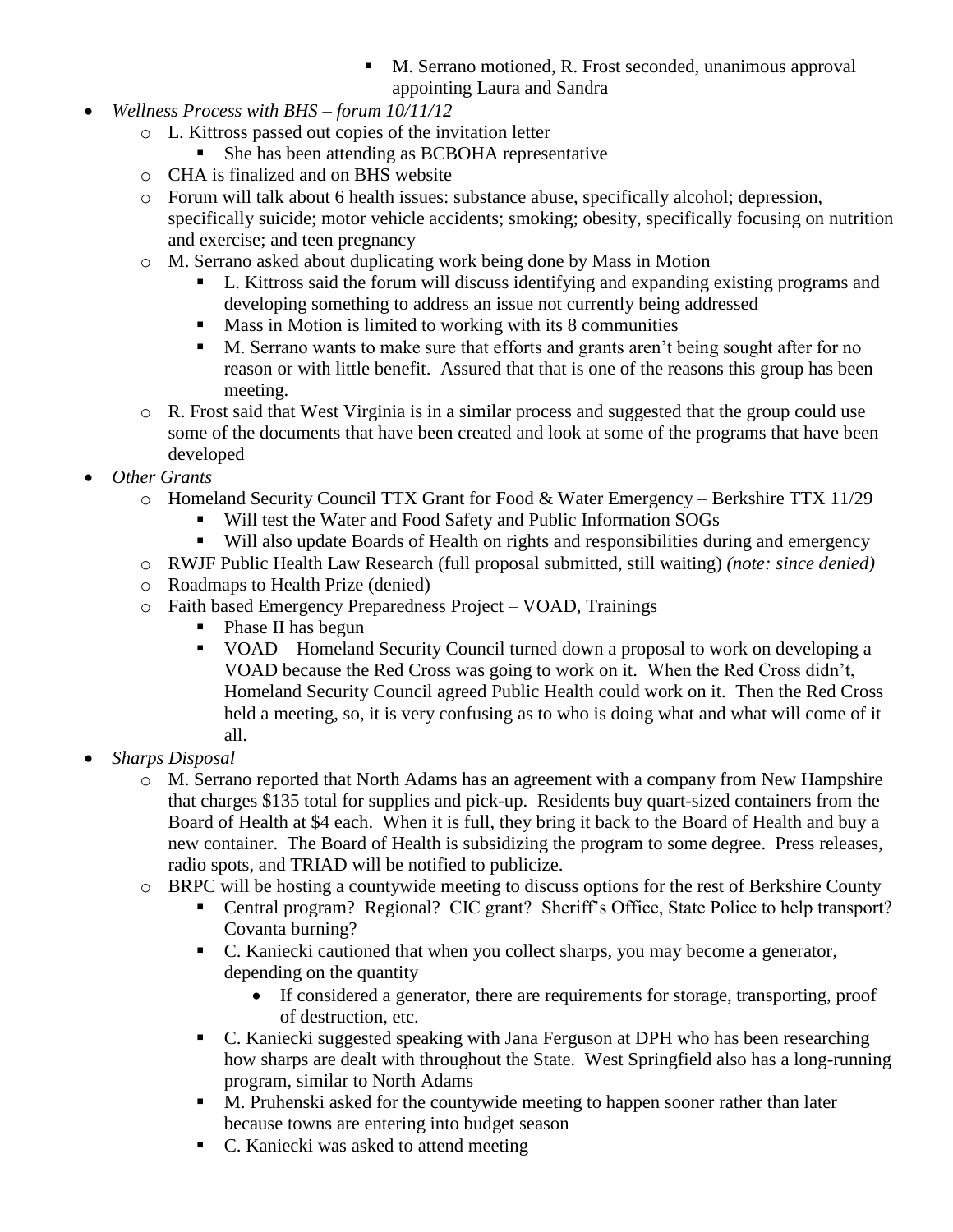- M. Serrano motioned, R. Frost seconded, unanimous approval appointing Laura and Sandra
- *Wellness Process with BHS – forum 10/11/12*
	- o L. Kittross passed out copies of the invitation letter
		- She has been attending as BCBOHA representative
	- o CHA is finalized and on BHS website
	- o Forum will talk about 6 health issues: substance abuse, specifically alcohol; depression, specifically suicide; motor vehicle accidents; smoking; obesity, specifically focusing on nutrition and exercise; and teen pregnancy
	- o M. Serrano asked about duplicating work being done by Mass in Motion
		- L. Kittross said the forum will discuss identifying and expanding existing programs and developing something to address an issue not currently being addressed
		- **Mass in Motion is limited to working with its 8 communities**
		- M. Serrano wants to make sure that efforts and grants aren't being sought after for no reason or with little benefit. Assured that that is one of the reasons this group has been meeting.
	- o R. Frost said that West Virginia is in a similar process and suggested that the group could use some of the documents that have been created and look at some of the programs that have been developed
- *Other Grants*
	- o Homeland Security Council TTX Grant for Food & Water Emergency Berkshire TTX 11/29
		- Will test the Water and Food Safety and Public Information SOGs
		- Will also update Boards of Health on rights and responsibilities during and emergency
	- o RWJF Public Health Law Research (full proposal submitted, still waiting) *(note: since denied)*
	- o Roadmaps to Health Prize (denied)
	- o Faith based Emergency Preparedness Project VOAD, Trainings
		- Phase II has begun
		- VOAD Homeland Security Council turned down a proposal to work on developing a VOAD because the Red Cross was going to work on it. When the Red Cross didn't, Homeland Security Council agreed Public Health could work on it. Then the Red Cross held a meeting, so, it is very confusing as to who is doing what and what will come of it all.
- *Sharps Disposal*
	- o M. Serrano reported that North Adams has an agreement with a company from New Hampshire that charges \$135 total for supplies and pick-up. Residents buy quart-sized containers from the Board of Health at \$4 each. When it is full, they bring it back to the Board of Health and buy a new container. The Board of Health is subsidizing the program to some degree. Press releases, radio spots, and TRIAD will be notified to publicize.
	- o BRPC will be hosting a countywide meeting to discuss options for the rest of Berkshire County
		- Central program? Regional? CIC grant? Sheriff's Office, State Police to help transport? Covanta burning?
		- C. Kaniecki cautioned that when you collect sharps, you may become a generator, depending on the quantity
			- If considered a generator, there are requirements for storage, transporting, proof of destruction, etc.
		- C. Kaniecki suggested speaking with Jana Ferguson at DPH who has been researching how sharps are dealt with throughout the State. West Springfield also has a long-running program, similar to North Adams
		- M. Pruhenski asked for the countywide meeting to happen sooner rather than later because towns are entering into budget season
		- C. Kaniecki was asked to attend meeting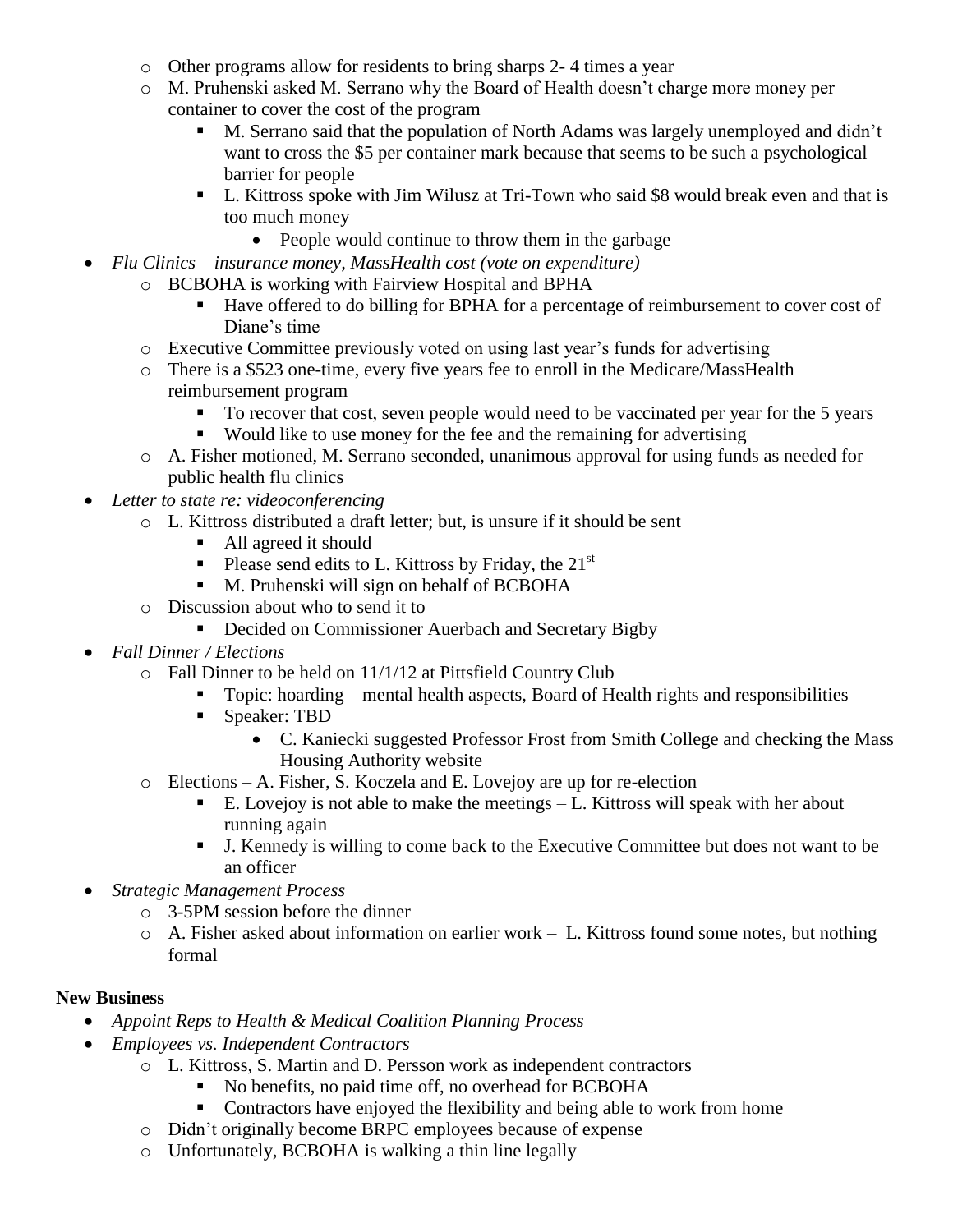- o Other programs allow for residents to bring sharps 2- 4 times a year
- o M. Pruhenski asked M. Serrano why the Board of Health doesn't charge more money per container to cover the cost of the program
	- M. Serrano said that the population of North Adams was largely unemployed and didn't want to cross the \$5 per container mark because that seems to be such a psychological barrier for people
	- L. Kittross spoke with Jim Wilusz at Tri-Town who said \$8 would break even and that is too much money
		- People would continue to throw them in the garbage
- *Flu Clinics – insurance money, MassHealth cost (vote on expenditure)*
	- o BCBOHA is working with Fairview Hospital and BPHA
		- Have offered to do billing for BPHA for a percentage of reimbursement to cover cost of Diane's time
	- o Executive Committee previously voted on using last year's funds for advertising
	- o There is a \$523 one-time, every five years fee to enroll in the Medicare/MassHealth reimbursement program
		- To recover that cost, seven people would need to be vaccinated per year for the 5 years
		- Would like to use money for the fee and the remaining for advertising
	- o A. Fisher motioned, M. Serrano seconded, unanimous approval for using funds as needed for public health flu clinics
- *Letter to state re: videoconferencing*
	- o L. Kittross distributed a draft letter; but, is unsure if it should be sent
		- All agreed it should
		- Please send edits to L. Kittross by Friday, the  $21<sup>st</sup>$
		- M. Pruhenski will sign on behalf of BCBOHA
	- o Discussion about who to send it to
		- **•** Decided on Commissioner Auerbach and Secretary Bigby
- *Fall Dinner / Elections*
	- o Fall Dinner to be held on 11/1/12 at Pittsfield Country Club
		- Topic: hoarding mental health aspects, Board of Health rights and responsibilities
		- **Speaker: TBD** 
			- C. Kaniecki suggested Professor Frost from Smith College and checking the Mass Housing Authority website
	- o Elections A. Fisher, S. Koczela and E. Lovejoy are up for re-election
		- E. Lovejoy is not able to make the meetings  $-L$ . Kittross will speak with her about running again
		- J. Kennedy is willing to come back to the Executive Committee but does not want to be an officer
- *Strategic Management Process*
	- o 3-5PM session before the dinner
	- o A. Fisher asked about information on earlier work L. Kittross found some notes, but nothing formal

#### **New Business**

- *Appoint Reps to Health & Medical Coalition Planning Process*
- *Employees vs. Independent Contractors*
	- o L. Kittross, S. Martin and D. Persson work as independent contractors
		- No benefits, no paid time off, no overhead for BCBOHA
		- Contractors have enjoyed the flexibility and being able to work from home
	- o Didn't originally become BRPC employees because of expense
	- o Unfortunately, BCBOHA is walking a thin line legally